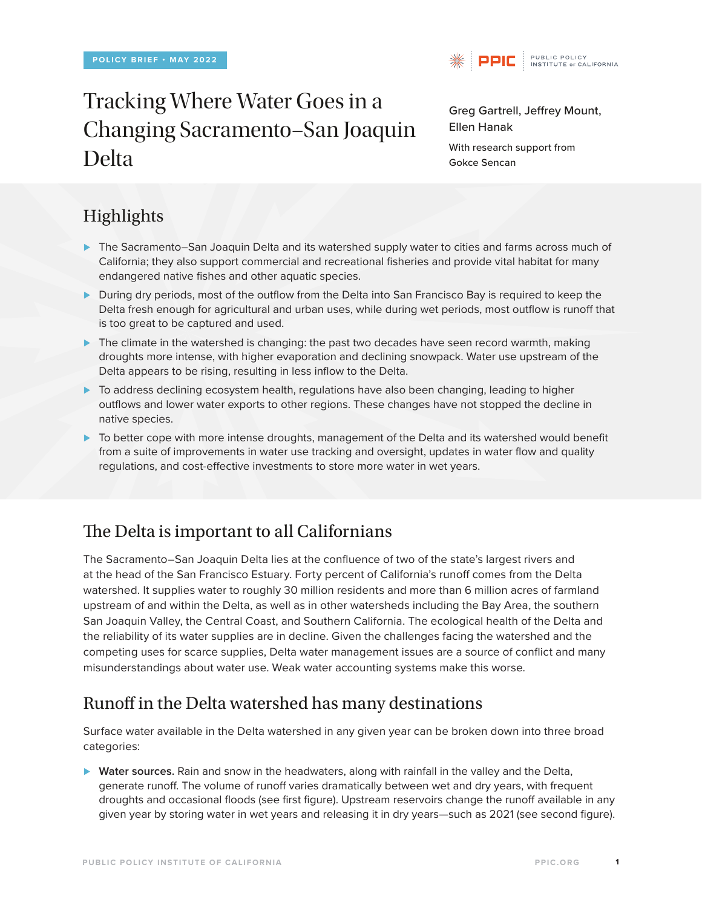# Tracking Where Water Goes in a Changing Sacramento–San Joaquin Delta



Greg Gartrell, Jeffrey Mount, Ellen Hanak

With research support from Gokce Sencan

# Highlights

- *⊲* The Sacramento–San Joaquin Delta and its watershed supply water to cities and farms across much of California; they also support commercial and recreational fisheries and provide vital habitat for many endangered native fishes and other aquatic species.
- *⊲* During dry periods, most of the outflow from the Delta into San Francisco Bay is required to keep the Delta fresh enough for agricultural and urban uses, while during wet periods, most outflow is runoff that is too great to be captured and used.
- *⊲* The climate in the watershed is changing: the past two decades have seen record warmth, making droughts more intense, with higher evaporation and declining snowpack. Water use upstream of the Delta appears to be rising, resulting in less inflow to the Delta.
- *⊲* To address declining ecosystem health, regulations have also been changing, leading to higher outflows and lower water exports to other regions. These changes have not stopped the decline in native species.
- *⊲* To better cope with more intense droughts, management of the Delta and its watershed would benefit from a suite of improvements in water use tracking and oversight, updates in water flow and quality regulations, and cost-effective investments to store more water in wet years.

# The Delta is important to all Californians

The Sacramento–San Joaquin Delta lies at the confluence of two of the state's largest rivers and at the head of the San Francisco Estuary. Forty percent of California's runoff comes from the Delta watershed. It supplies water to roughly 30 million residents and more than 6 million acres of farmland upstream of and within the Delta, as well as in other watersheds including the Bay Area, the southern San Joaquin Valley, the Central Coast, and Southern California. The ecological health of the Delta and the reliability of its water supplies are in decline. Given the challenges facing the watershed and the competing uses for scarce supplies, Delta water management issues are a source of conflict and many misunderstandings about water use. Weak water accounting systems make this worse.

## Runoff in the Delta watershed has many destinations

Surface water available in the Delta watershed in any given year can be broken down into three broad categories:

*⊲* **Water sources.** Rain and snow in the headwaters, along with rainfall in the valley and the Delta, generate runoff. The volume of runoff varies dramatically between wet and dry years, with frequent droughts and occasional floods (see first figure). Upstream reservoirs change the runoff available in any given year by storing water in wet years and releasing it in dry years—such as 2021 (see second figure).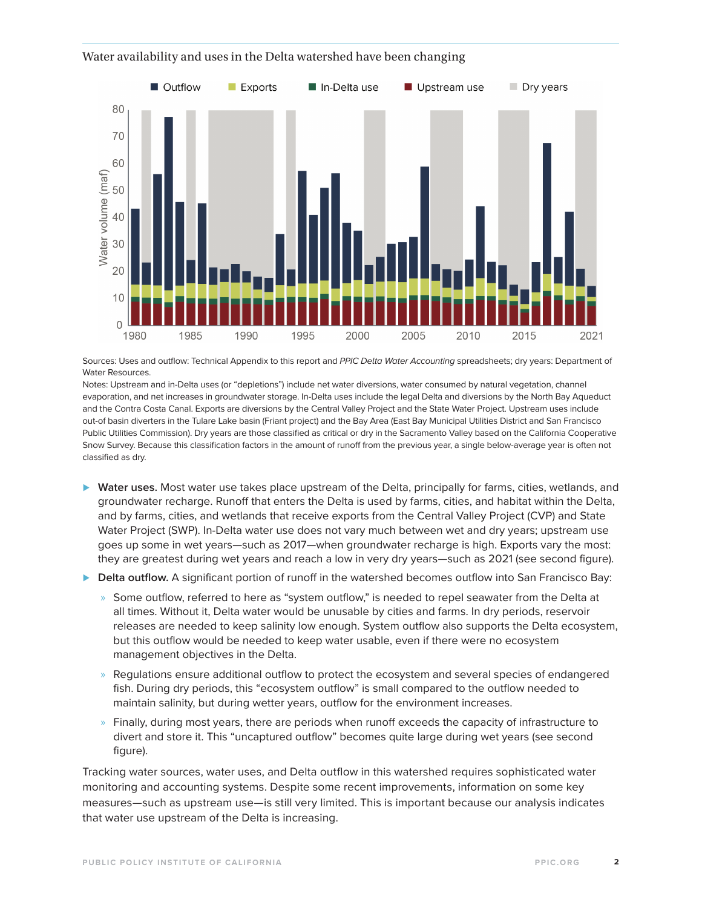#### Water availability and uses in the Delta watershed have been changing



Sources: Uses and outflow: Technical Appendix to this report and *PPIC Delta Water Accounting* spreadsheets; dry years: Department of Water Resources.

Notes: Upstream and in-Delta uses (or "depletions") include net water diversions, water consumed by natural vegetation, channel evaporation, and net increases in groundwater storage. In-Delta uses include the legal Delta and diversions by the North Bay Aqueduct and the Contra Costa Canal. Exports are diversions by the Central Valley Project and the State Water Project. Upstream uses include out-of basin diverters in the Tulare Lake basin (Friant project) and the Bay Area (East Bay Municipal Utilities District and San Francisco Public Utilities Commission). Dry years are those classified as critical or dry in the Sacramento Valley based on the California Cooperative Snow Survey. Because this classification factors in the amount of runoff from the previous year, a single below-average year is often not classified as dry.

- *⊲* **Water uses.** Most water use takes place upstream of the Delta, principally for farms, cities, wetlands, and groundwater recharge. Runoff that enters the Delta is used by farms, cities, and habitat within the Delta, and by farms, cities, and wetlands that receive exports from the Central Valley Project (CVP) and State Water Project (SWP). In-Delta water use does not vary much between wet and dry years; upstream use goes up some in wet years—such as 2017—when groundwater recharge is high. Exports vary the most: they are greatest during wet years and reach a low in very dry years—such as 2021 (see second figure).
- *⊲* **Delta outflow.** A significant portion of runoff in the watershed becomes outflow into San Francisco Bay:
	- » Some outflow, referred to here as "system outflow," is needed to repel seawater from the Delta at all times. Without it, Delta water would be unusable by cities and farms. In dry periods, reservoir releases are needed to keep salinity low enough. System outflow also supports the Delta ecosystem, but this outflow would be needed to keep water usable, even if there were no ecosystem management objectives in the Delta.
	- » Regulations ensure additional outflow to protect the ecosystem and several species of endangered fish. During dry periods, this "ecosystem outflow" is small compared to the outflow needed to maintain salinity, but during wetter years, outflow for the environment increases.
	- » Finally, during most years, there are periods when runoff exceeds the capacity of infrastructure to divert and store it. This "uncaptured outflow" becomes quite large during wet years (see second figure).

Tracking water sources, water uses, and Delta outflow in this watershed requires sophisticated water monitoring and accounting systems. Despite some recent improvements, information on some key measures—such as upstream use—is still very limited. This is important because our analysis indicates that water use upstream of the Delta is increasing.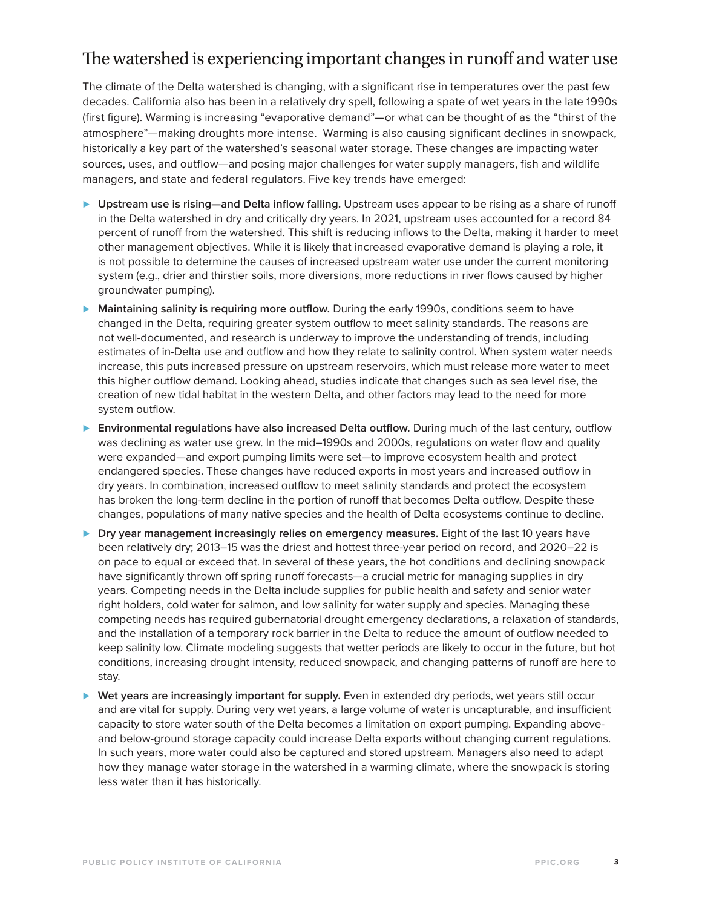### The watershed is experiencing important changes in runoff and water use

The climate of the Delta watershed is changing, with a significant rise in temperatures over the past few decades. California also has been in a relatively dry spell, following a spate of wet years in the late 1990s (first figure). Warming is increasing "evaporative demand"—or what can be thought of as the "thirst of the atmosphere"—making droughts more intense. Warming is also causing significant declines in snowpack, historically a key part of the watershed's seasonal water storage. These changes are impacting water sources, uses, and outflow—and posing major challenges for water supply managers, fish and wildlife managers, and state and federal regulators. Five key trends have emerged:

- *⊲* **Upstream use is rising—and Delta inflow falling.** Upstream uses appear to be rising as a share of runoff in the Delta watershed in dry and critically dry years. In 2021, upstream uses accounted for a record 84 percent of runoff from the watershed. This shift is reducing inflows to the Delta, making it harder to meet other management objectives. While it is likely that increased evaporative demand is playing a role, it is not possible to determine the causes of increased upstream water use under the current monitoring system (e.g., drier and thirstier soils, more diversions, more reductions in river flows caused by higher groundwater pumping).
- *⊲* **Maintaining salinity is requiring more outflow.** During the early 1990s, conditions seem to have changed in the Delta, requiring greater system outflow to meet salinity standards. The reasons are not well-documented, and research is underway to improve the understanding of trends, including estimates of in-Delta use and outflow and how they relate to salinity control. When system water needs increase, this puts increased pressure on upstream reservoirs, which must release more water to meet this higher outflow demand. Looking ahead, studies indicate that changes such as sea level rise, the creation of new tidal habitat in the western Delta, and other factors may lead to the need for more system outflow.
- *⊲* **Environmental regulations have also increased Delta outflow.** During much of the last century, outflow was declining as water use grew. In the mid–1990s and 2000s, regulations on water flow and quality were expanded—and export pumping limits were set—to improve ecosystem health and protect endangered species. These changes have reduced exports in most years and increased outflow in dry years. In combination, increased outflow to meet salinity standards and protect the ecosystem has broken the long-term decline in the portion of runoff that becomes Delta outflow. Despite these changes, populations of many native species and the health of Delta ecosystems continue to decline.
- *⊲* **Dry year management increasingly relies on emergency measures.** Eight of the last 10 years have been relatively dry; 2013–15 was the driest and hottest three-year period on record, and 2020–22 is on pace to equal or exceed that. In several of these years, the hot conditions and declining snowpack have significantly thrown off spring runoff forecasts—a crucial metric for managing supplies in dry years. Competing needs in the Delta include supplies for public health and safety and senior water right holders, cold water for salmon, and low salinity for water supply and species. Managing these competing needs has required gubernatorial drought emergency declarations, a relaxation of standards, and the installation of a temporary rock barrier in the Delta to reduce the amount of outflow needed to keep salinity low. Climate modeling suggests that wetter periods are likely to occur in the future, but hot conditions, increasing drought intensity, reduced snowpack, and changing patterns of runoff are here to stay.
- *⊲* **Wet years are increasingly important for supply.** Even in extended dry periods, wet years still occur and are vital for supply. During very wet years, a large volume of water is uncapturable, and insufficient capacity to store water south of the Delta becomes a limitation on export pumping. Expanding aboveand below-ground storage capacity could increase Delta exports without changing current regulations. In such years, more water could also be captured and stored upstream. Managers also need to adapt how they manage water storage in the watershed in a warming climate, where the snowpack is storing less water than it has historically.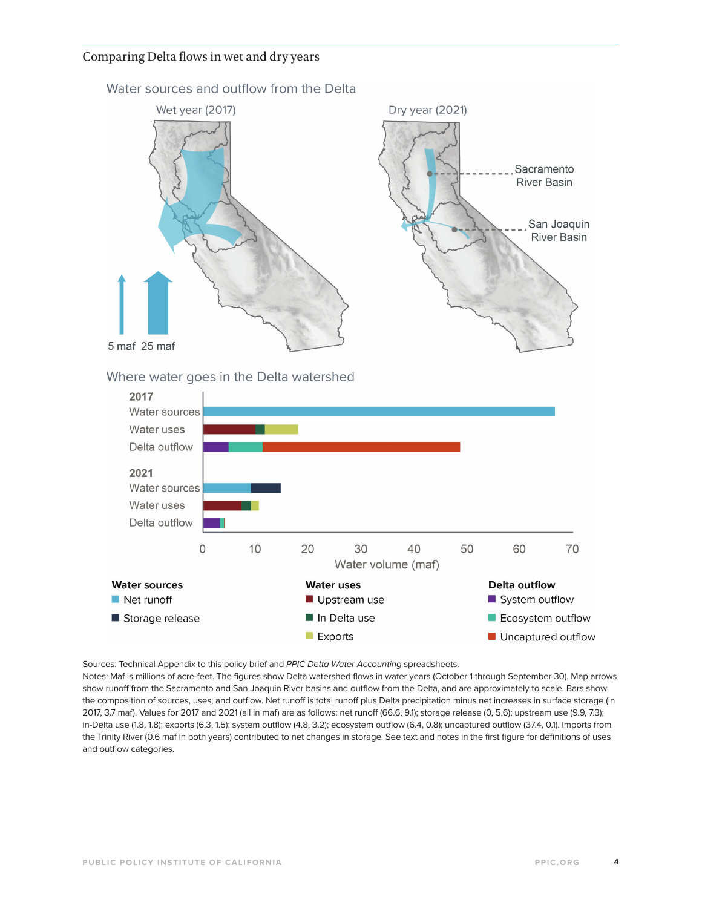#### Comparing Delta flows in wet and dry years



Water sources and outflow from the Delta

Where water goes in the Delta watershed



Sources: Technical Appendix to this policy brief and *PPIC Delta Water Accounting* spreadsheets.

Notes: Maf is millions of acre-feet. The figures show Delta watershed flows in water years (October 1 through September 30). Map arrows show runoff from the Sacramento and San Joaquin River basins and outflow from the Delta, and are approximately to scale. Bars show the composition of sources, uses, and outflow. Net runoff is total runoff plus Delta precipitation minus net increases in surface storage (in 2017, 3.7 maf). Values for 2017 and 2021 (all in maf) are as follows: net runoff (66.6, 9.1); storage release (0, 5.6); upstream use (9.9, 7.3); in-Delta use (1.8, 1.8); exports (6.3, 1.5); system outflow (4.8, 3.2); ecosystem outflow (6.4, 0.8); uncaptured outflow (37.4, 0.1). Imports from the Trinity River (0.6 maf in both years) contributed to net changes in storage. See text and notes in the first figure for definitions of uses and outflow categories.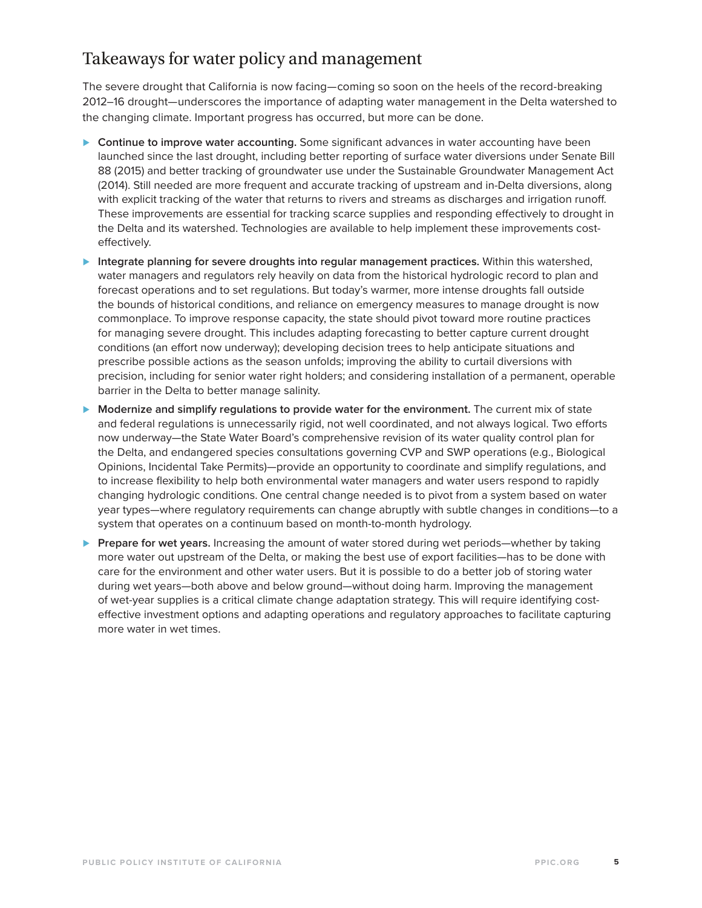### Takeaways for water policy and management

The severe drought that California is now facing—coming so soon on the heels of the record-breaking 2012–16 drought—underscores the importance of adapting water management in the Delta watershed to the changing climate. Important progress has occurred, but more can be done.

- *⊲* **Continue to improve water accounting.** Some significant advances in water accounting have been launched since the last drought, including better reporting of surface water diversions under Senate Bill 88 (2015) and better tracking of groundwater use under the Sustainable Groundwater Management Act (2014). Still needed are more frequent and accurate tracking of upstream and in-Delta diversions, along with explicit tracking of the water that returns to rivers and streams as discharges and irrigation runoff. These improvements are essential for tracking scarce supplies and responding effectively to drought in the Delta and its watershed. Technologies are available to help implement these improvements costeffectively.
- *⊲* **Integrate planning for severe droughts into regular management practices.** Within this watershed, water managers and regulators rely heavily on data from the historical hydrologic record to plan and forecast operations and to set regulations. But today's warmer, more intense droughts fall outside the bounds of historical conditions, and reliance on emergency measures to manage drought is now commonplace. To improve response capacity, the state should pivot toward more routine practices for managing severe drought. This includes adapting forecasting to better capture current drought conditions (an effort now underway); developing decision trees to help anticipate situations and prescribe possible actions as the season unfolds; improving the ability to curtail diversions with precision, including for senior water right holders; and considering installation of a permanent, operable barrier in the Delta to better manage salinity.
- *⊲* **Modernize and simplify regulations to provide water for the environment.** The current mix of state and federal regulations is unnecessarily rigid, not well coordinated, and not always logical. Two efforts now underway—the State Water Board's comprehensive revision of its water quality control plan for the Delta, and endangered species consultations governing CVP and SWP operations (e.g., Biological Opinions, Incidental Take Permits)—provide an opportunity to coordinate and simplify regulations, and to increase flexibility to help both environmental water managers and water users respond to rapidly changing hydrologic conditions. One central change needed is to pivot from a system based on water year types—where regulatory requirements can change abruptly with subtle changes in conditions—to a system that operates on a continuum based on month-to-month hydrology.
- *⊲* **Prepare for wet years.** Increasing the amount of water stored during wet periods—whether by taking more water out upstream of the Delta, or making the best use of export facilities—has to be done with care for the environment and other water users. But it is possible to do a better job of storing water during wet years—both above and below ground—without doing harm. Improving the management of wet-year supplies is a critical climate change adaptation strategy. This will require identifying costeffective investment options and adapting operations and regulatory approaches to facilitate capturing more water in wet times.